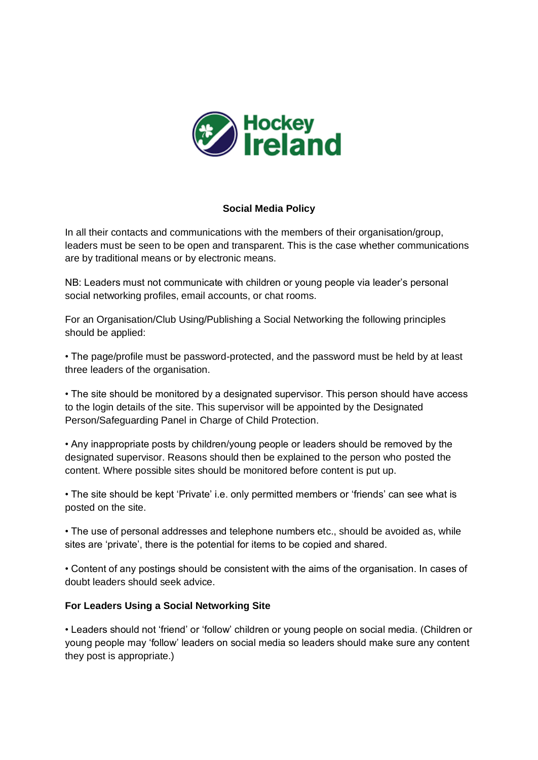

## **Social Media Policy**

In all their contacts and communications with the members of their organisation/group, leaders must be seen to be open and transparent. This is the case whether communications are by traditional means or by electronic means.

NB: Leaders must not communicate with children or young people via leader's personal social networking profiles, email accounts, or chat rooms.

For an Organisation/Club Using/Publishing a Social Networking the following principles should be applied:

• The page/profile must be password-protected, and the password must be held by at least three leaders of the organisation.

• The site should be monitored by a designated supervisor. This person should have access to the login details of the site. This supervisor will be appointed by the Designated Person/Safeguarding Panel in Charge of Child Protection.

• Any inappropriate posts by children/young people or leaders should be removed by the designated supervisor. Reasons should then be explained to the person who posted the content. Where possible sites should be monitored before content is put up.

• The site should be kept 'Private' i.e. only permitted members or 'friends' can see what is posted on the site.

• The use of personal addresses and telephone numbers etc., should be avoided as, while sites are 'private', there is the potential for items to be copied and shared.

• Content of any postings should be consistent with the aims of the organisation. In cases of doubt leaders should seek advice.

## **For Leaders Using a Social Networking Site**

• Leaders should not 'friend' or 'follow' children or young people on social media. (Children or young people may 'follow' leaders on social media so leaders should make sure any content they post is appropriate.)